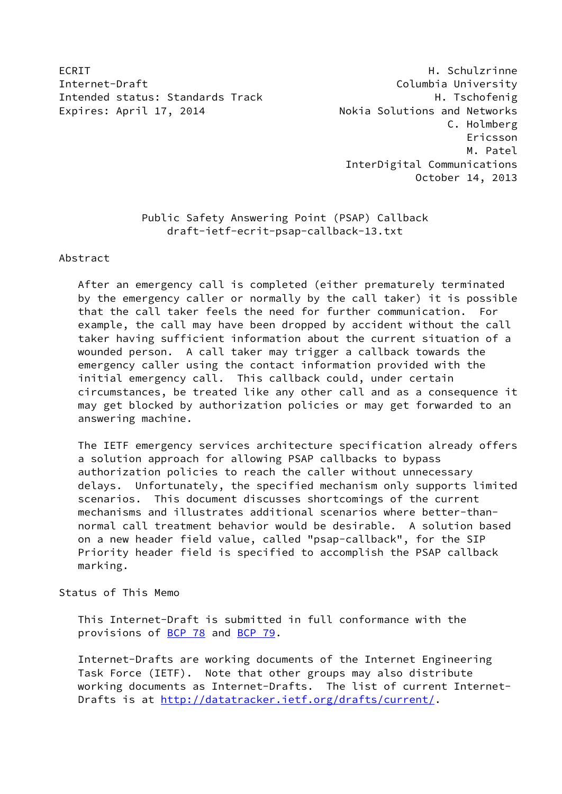ECRIT **H. Schulzrinne** Internet-Draft Columbia University Intended status: Standards Track H. Tschofenig Expires: April 17, 2014 **Nokia Solutions and Networks** 

 C. Holmberg Ericsson M. Patel InterDigital Communications October 14, 2013

# Public Safety Answering Point (PSAP) Callback draft-ietf-ecrit-psap-callback-13.txt

Abstract

 After an emergency call is completed (either prematurely terminated by the emergency caller or normally by the call taker) it is possible that the call taker feels the need for further communication. For example, the call may have been dropped by accident without the call taker having sufficient information about the current situation of a wounded person. A call taker may trigger a callback towards the emergency caller using the contact information provided with the initial emergency call. This callback could, under certain circumstances, be treated like any other call and as a consequence it may get blocked by authorization policies or may get forwarded to an answering machine.

 The IETF emergency services architecture specification already offers a solution approach for allowing PSAP callbacks to bypass authorization policies to reach the caller without unnecessary delays. Unfortunately, the specified mechanism only supports limited scenarios. This document discusses shortcomings of the current mechanisms and illustrates additional scenarios where better-than normal call treatment behavior would be desirable. A solution based on a new header field value, called "psap-callback", for the SIP Priority header field is specified to accomplish the PSAP callback marking.

Status of This Memo

 This Internet-Draft is submitted in full conformance with the provisions of [BCP 78](https://datatracker.ietf.org/doc/pdf/bcp78) and [BCP 79](https://datatracker.ietf.org/doc/pdf/bcp79).

 Internet-Drafts are working documents of the Internet Engineering Task Force (IETF). Note that other groups may also distribute working documents as Internet-Drafts. The list of current Internet Drafts is at<http://datatracker.ietf.org/drafts/current/>.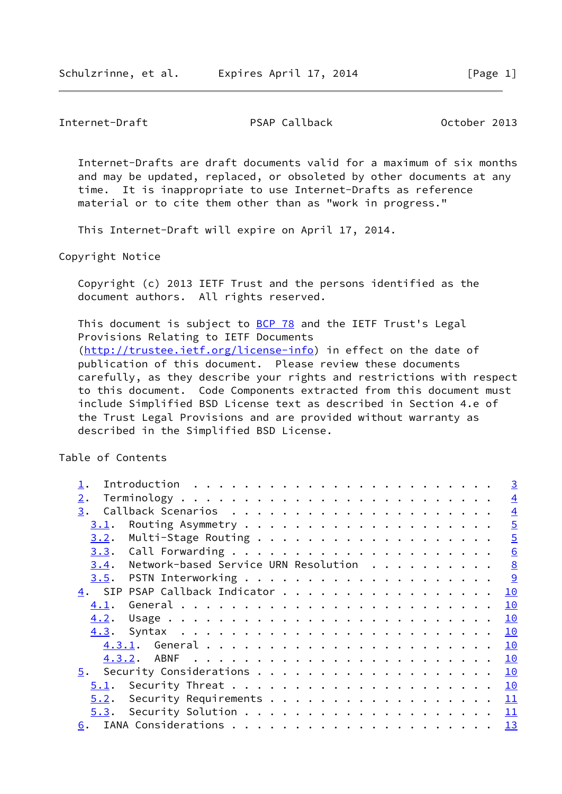Internet-Draft PSAP Callback October 2013

 Internet-Drafts are draft documents valid for a maximum of six months and may be updated, replaced, or obsoleted by other documents at any time. It is inappropriate to use Internet-Drafts as reference material or to cite them other than as "work in progress."

This Internet-Draft will expire on April 17, 2014.

Copyright Notice

 Copyright (c) 2013 IETF Trust and the persons identified as the document authors. All rights reserved.

This document is subject to [BCP 78](https://datatracker.ietf.org/doc/pdf/bcp78) and the IETF Trust's Legal Provisions Relating to IETF Documents [\(http://trustee.ietf.org/license-info](http://trustee.ietf.org/license-info)) in effect on the date of publication of this document. Please review these documents carefully, as they describe your rights and restrictions with respect to this document. Code Components extracted from this document must include Simplified BSD License text as described in Section 4.e of the Trust Legal Provisions and are provided without warranty as described in the Simplified BSD License.

Table of Contents

|                                |                                                             |  |  |  |  |  |  |  |  |  |  |  | $\overline{3}$ |
|--------------------------------|-------------------------------------------------------------|--|--|--|--|--|--|--|--|--|--|--|----------------|
| 2.                             |                                                             |  |  |  |  |  |  |  |  |  |  |  | $\overline{4}$ |
| 3.                             |                                                             |  |  |  |  |  |  |  |  |  |  |  | $\overline{4}$ |
| 3.1.                           |                                                             |  |  |  |  |  |  |  |  |  |  |  | $\overline{5}$ |
| 3.2.                           |                                                             |  |  |  |  |  |  |  |  |  |  |  | $\overline{5}$ |
|                                |                                                             |  |  |  |  |  |  |  |  |  |  |  | 6              |
| 3.4.                           | Network-based Service URN Resolution $\cdots \cdots \cdots$ |  |  |  |  |  |  |  |  |  |  |  |                |
|                                |                                                             |  |  |  |  |  |  |  |  |  |  |  |                |
| 4. SIP PSAP Callback Indicator |                                                             |  |  |  |  |  |  |  |  |  |  |  | 10             |
| 4.1.                           |                                                             |  |  |  |  |  |  |  |  |  |  |  | 10             |
| 4.2.                           |                                                             |  |  |  |  |  |  |  |  |  |  |  | 10             |
|                                |                                                             |  |  |  |  |  |  |  |  |  |  |  |                |
|                                |                                                             |  |  |  |  |  |  |  |  |  |  |  |                |
|                                |                                                             |  |  |  |  |  |  |  |  |  |  |  |                |
|                                |                                                             |  |  |  |  |  |  |  |  |  |  |  |                |
| 5.1.                           |                                                             |  |  |  |  |  |  |  |  |  |  |  |                |
| 5.2.                           | Security Requirements $\underline{11}$                      |  |  |  |  |  |  |  |  |  |  |  |                |
|                                |                                                             |  |  |  |  |  |  |  |  |  |  |  |                |
| 6.                             |                                                             |  |  |  |  |  |  |  |  |  |  |  |                |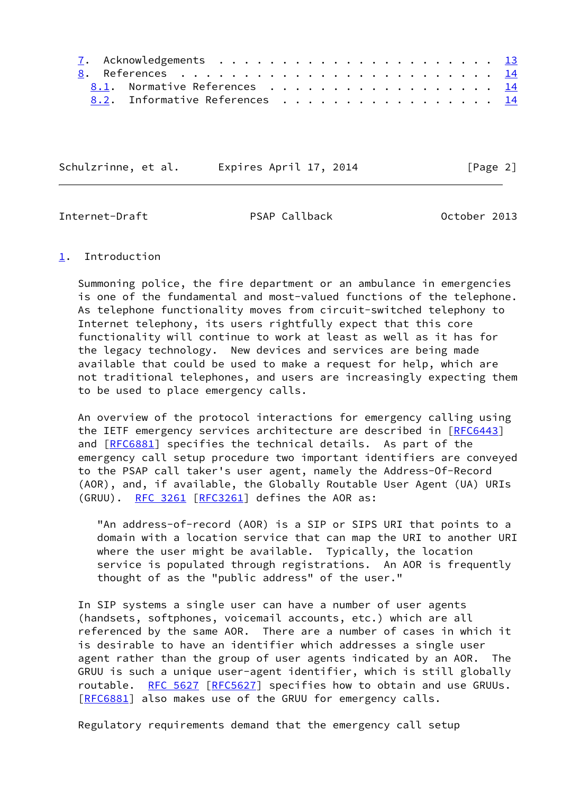|  | 8.1. Normative References 14   |  |  |
|--|--------------------------------|--|--|
|  | 8.2. Informative References 14 |  |  |

Schulzrinne, et al. Expires April 17, 2014 [Page 2]

<span id="page-2-1"></span>Internet-Draft PSAP Callback October 2013

## <span id="page-2-0"></span>[1](#page-2-0). Introduction

 Summoning police, the fire department or an ambulance in emergencies is one of the fundamental and most-valued functions of the telephone. As telephone functionality moves from circuit-switched telephony to Internet telephony, its users rightfully expect that this core functionality will continue to work at least as well as it has for the legacy technology. New devices and services are being made available that could be used to make a request for help, which are not traditional telephones, and users are increasingly expecting them to be used to place emergency calls.

 An overview of the protocol interactions for emergency calling using the IETF emergency services architecture are described in [[RFC6443](https://datatracker.ietf.org/doc/pdf/rfc6443)] and [\[RFC6881](https://datatracker.ietf.org/doc/pdf/rfc6881)] specifies the technical details. As part of the emergency call setup procedure two important identifiers are conveyed to the PSAP call taker's user agent, namely the Address-Of-Record (AOR), and, if available, the Globally Routable User Agent (UA) URIs (GRUU). [RFC 3261](https://datatracker.ietf.org/doc/pdf/rfc3261) [[RFC3261](https://datatracker.ietf.org/doc/pdf/rfc3261)] defines the AOR as:

 "An address-of-record (AOR) is a SIP or SIPS URI that points to a domain with a location service that can map the URI to another URI where the user might be available. Typically, the location service is populated through registrations. An AOR is frequently thought of as the "public address" of the user."

 In SIP systems a single user can have a number of user agents (handsets, softphones, voicemail accounts, etc.) which are all referenced by the same AOR. There are a number of cases in which it is desirable to have an identifier which addresses a single user agent rather than the group of user agents indicated by an AOR. The GRUU is such a unique user-agent identifier, which is still globally routable. [RFC 5627 \[RFC5627](https://datatracker.ietf.org/doc/pdf/rfc5627)] specifies how to obtain and use GRUUs. [\[RFC6881](https://datatracker.ietf.org/doc/pdf/rfc6881)] also makes use of the GRUU for emergency calls.

Regulatory requirements demand that the emergency call setup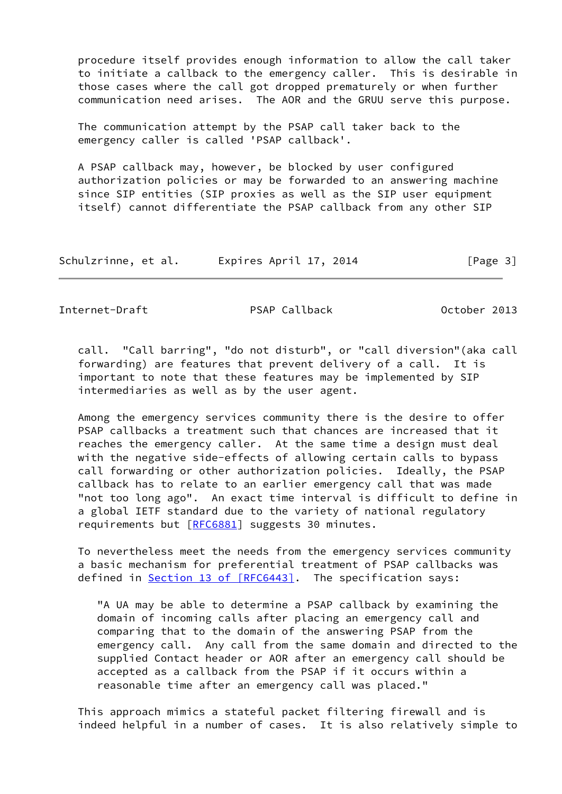procedure itself provides enough information to allow the call taker to initiate a callback to the emergency caller. This is desirable in those cases where the call got dropped prematurely or when further communication need arises. The AOR and the GRUU serve this purpose.

 The communication attempt by the PSAP call taker back to the emergency caller is called 'PSAP callback'.

 A PSAP callback may, however, be blocked by user configured authorization policies or may be forwarded to an answering machine since SIP entities (SIP proxies as well as the SIP user equipment itself) cannot differentiate the PSAP callback from any other SIP

| Schulzrinne, et al. | Expires April 17, 2014 | [Page 3] |
|---------------------|------------------------|----------|
|---------------------|------------------------|----------|

<span id="page-3-0"></span>Internet-Draft PSAP Callback October 2013

 call. "Call barring", "do not disturb", or "call diversion"(aka call forwarding) are features that prevent delivery of a call. It is important to note that these features may be implemented by SIP intermediaries as well as by the user agent.

 Among the emergency services community there is the desire to offer PSAP callbacks a treatment such that chances are increased that it reaches the emergency caller. At the same time a design must deal with the negative side-effects of allowing certain calls to bypass call forwarding or other authorization policies. Ideally, the PSAP callback has to relate to an earlier emergency call that was made "not too long ago". An exact time interval is difficult to define in a global IETF standard due to the variety of national regulatory requirements but [\[RFC6881](https://datatracker.ietf.org/doc/pdf/rfc6881)] suggests 30 minutes.

 To nevertheless meet the needs from the emergency services community a basic mechanism for preferential treatment of PSAP callbacks was defined in **Section [13 of \[RFC6443\]](https://datatracker.ietf.org/doc/pdf/rfc6443#section-13)**. The specification says:

 "A UA may be able to determine a PSAP callback by examining the domain of incoming calls after placing an emergency call and comparing that to the domain of the answering PSAP from the emergency call. Any call from the same domain and directed to the supplied Contact header or AOR after an emergency call should be accepted as a callback from the PSAP if it occurs within a reasonable time after an emergency call was placed."

 This approach mimics a stateful packet filtering firewall and is indeed helpful in a number of cases. It is also relatively simple to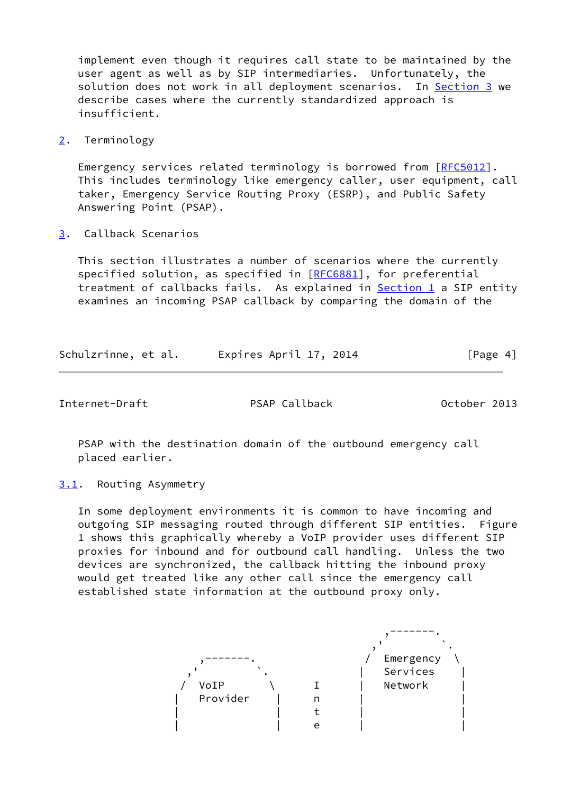implement even though it requires call state to be maintained by the user agent as well as by SIP intermediaries. Unfortunately, the solution does not work in all deployment scenarios. In **Section 3** we describe cases where the currently standardized approach is insufficient.

<span id="page-4-0"></span>[2](#page-4-0). Terminology

Emergency services related terminology is borrowed from [\[RFC5012](https://datatracker.ietf.org/doc/pdf/rfc5012)]. This includes terminology like emergency caller, user equipment, call taker, Emergency Service Routing Proxy (ESRP), and Public Safety Answering Point (PSAP).

<span id="page-4-1"></span>[3](#page-4-1). Callback Scenarios

 This section illustrates a number of scenarios where the currently specified solution, as specified in [\[RFC6881](https://datatracker.ietf.org/doc/pdf/rfc6881)], for preferential treatment of callbacks fails. As explained in [Section 1](#page-2-0) a SIP entity examines an incoming PSAP callback by comparing the domain of the

| Schulzrinne, et al. | Expires April 17, 2014 |  | [Page 4] |
|---------------------|------------------------|--|----------|
|                     |                        |  |          |

<span id="page-4-3"></span>Internet-Draft PSAP Callback October 2013

 PSAP with the destination domain of the outbound emergency call placed earlier.

<span id="page-4-2"></span>[3.1](#page-4-2). Routing Asymmetry

 In some deployment environments it is common to have incoming and outgoing SIP messaging routed through different SIP entities. Figure 1 shows this graphically whereby a VoIP provider uses different SIP proxies for inbound and for outbound call handling. Unless the two devices are synchronized, the callback hitting the inbound proxy would get treated like any other call since the emergency call established state information at the outbound proxy only.

|          |   | Emergency<br>Services |
|----------|---|-----------------------|
| VoIP     |   | Network               |
| Provider | n |                       |
|          |   |                       |
|          |   |                       |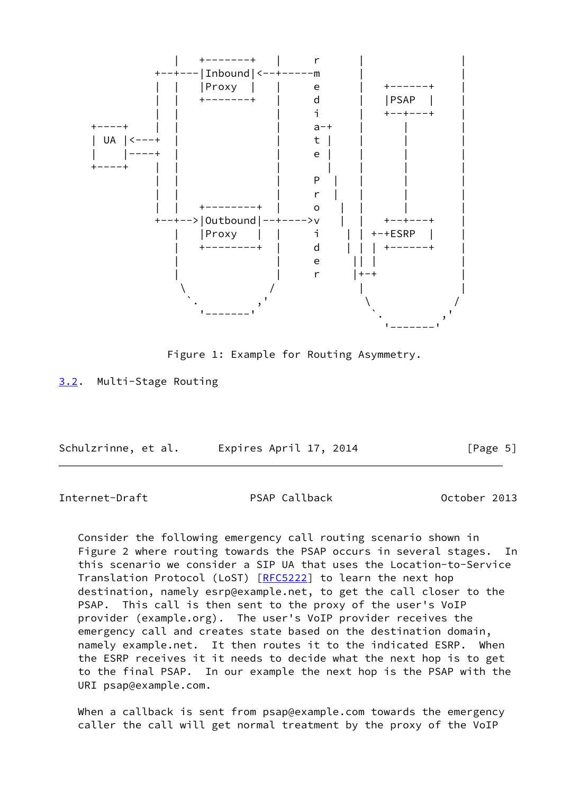

Figure 1: Example for Routing Asymmetry.

<span id="page-5-0"></span>[3.2](#page-5-0). Multi-Stage Routing

| Schulzrinne, et al. | Expires April 17, 2014 | [Page 5] |
|---------------------|------------------------|----------|
|                     |                        |          |

<span id="page-5-1"></span>Internet-Draft PSAP Callback October 2013

 Consider the following emergency call routing scenario shown in Figure 2 where routing towards the PSAP occurs in several stages. In this scenario we consider a SIP UA that uses the Location-to-Service Translation Protocol (LoST) [\[RFC5222](https://datatracker.ietf.org/doc/pdf/rfc5222)] to learn the next hop destination, namely esrp@example.net, to get the call closer to the PSAP. This call is then sent to the proxy of the user's VoIP provider (example.org). The user's VoIP provider receives the emergency call and creates state based on the destination domain, namely example.net. It then routes it to the indicated ESRP. When the ESRP receives it it needs to decide what the next hop is to get to the final PSAP. In our example the next hop is the PSAP with the URI psap@example.com.

When a callback is sent from psap@example.com towards the emergency caller the call will get normal treatment by the proxy of the VoIP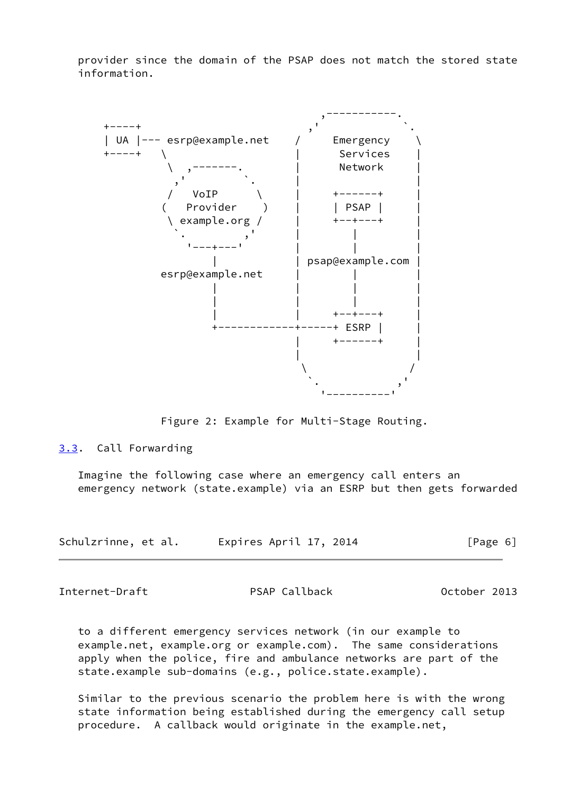provider since the domain of the PSAP does not match the stored state information.



Figure 2: Example for Multi-Stage Routing.

## <span id="page-6-0"></span>[3.3](#page-6-0). Call Forwarding

 Imagine the following case where an emergency call enters an emergency network (state.example) via an ESRP but then gets forwarded

| Schulzrinne, et al. | Expires April 17, 2014 | [Page 6] |
|---------------------|------------------------|----------|
|---------------------|------------------------|----------|

Internet-Draft PSAP Callback October 2013

 to a different emergency services network (in our example to example.net, example.org or example.com). The same considerations apply when the police, fire and ambulance networks are part of the state.example sub-domains (e.g., police.state.example).

 Similar to the previous scenario the problem here is with the wrong state information being established during the emergency call setup procedure. A callback would originate in the example.net,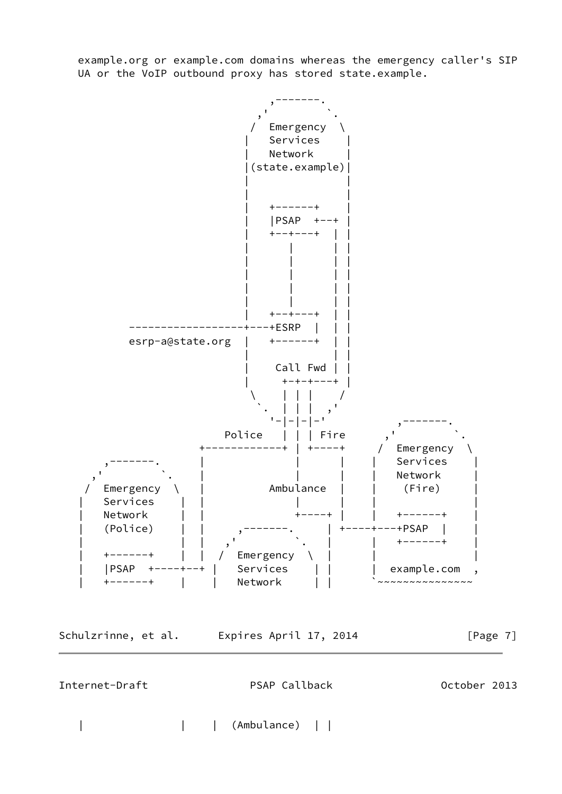example.org or example.com domains whereas the emergency caller's SIP UA or the VoIP outbound proxy has stored state.example.



Schulzrinne, et al. Expires April 17, 2014 [Page 7]

<span id="page-7-0"></span>Internet-Draft PSAP Callback Detober 2013

| | | (Ambulance) | |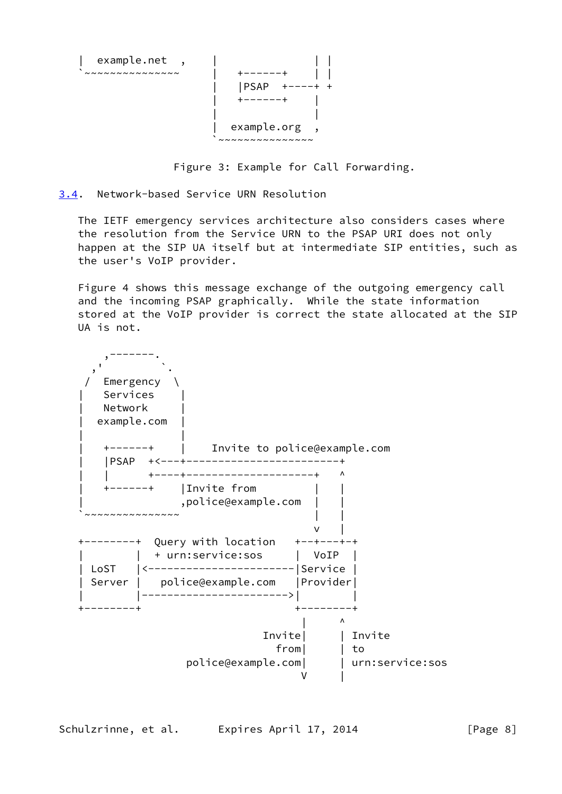

Figure 3: Example for Call Forwarding.

# <span id="page-8-0"></span>[3.4](#page-8-0). Network-based Service URN Resolution

 The IETF emergency services architecture also considers cases where the resolution from the Service URN to the PSAP URI does not only happen at the SIP UA itself but at intermediate SIP entities, such as the user's VoIP provider.

Figure 4 shows this message exchange of the outgoing emergency call and the incoming PSAP graphically. While the state information stored at the VoIP provider is correct the state allocated at the SIP UA is not.



Schulzrinne, et al. Expires April 17, 2014 [Page 8]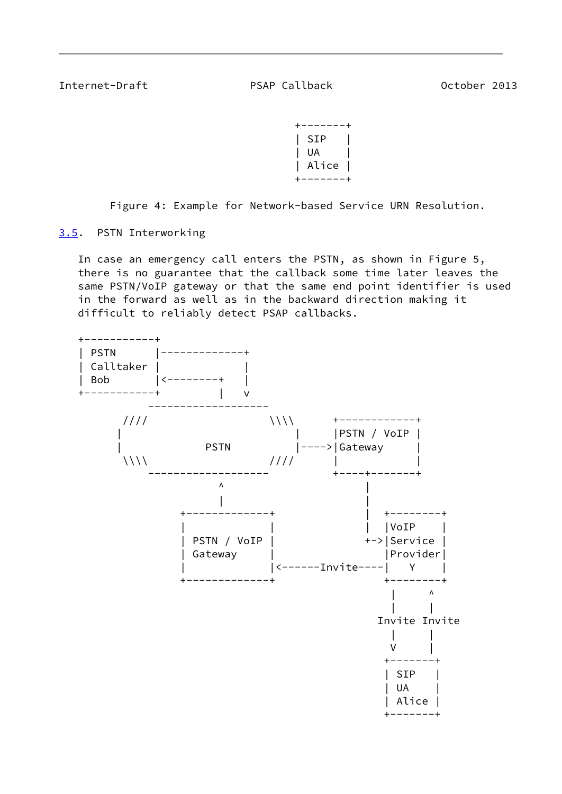<span id="page-9-1"></span>Internet-Draft PSAP Callback Detober 2013

 +-------+ | SIP | | UA | | Alice | +-------+

Figure 4: Example for Network-based Service URN Resolution.

<span id="page-9-0"></span>[3.5](#page-9-0). PSTN Interworking

 In case an emergency call enters the PSTN, as shown in Figure 5, there is no guarantee that the callback some time later leaves the same PSTN/VoIP gateway or that the same end point identifier is used in the forward as well as in the backward direction making it difficult to reliably detect PSAP callbacks.

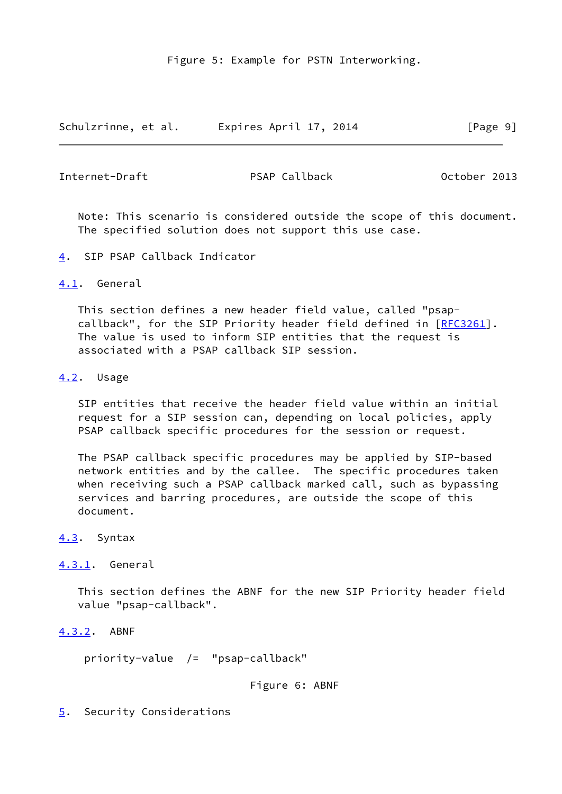Figure 5: Example for PSTN Interworking.

Schulzrinne, et al. Expires April 17, 2014 [Page 9]

<span id="page-10-1"></span>Internet-Draft PSAP Callback October 2013

 Note: This scenario is considered outside the scope of this document. The specified solution does not support this use case.

<span id="page-10-0"></span>[4](#page-10-0). SIP PSAP Callback Indicator

<span id="page-10-2"></span>[4.1](#page-10-2). General

 This section defines a new header field value, called "psap- callback", for the SIP Priority header field defined in [\[RFC3261](https://datatracker.ietf.org/doc/pdf/rfc3261)]. The value is used to inform SIP entities that the request is associated with a PSAP callback SIP session.

<span id="page-10-3"></span>[4.2](#page-10-3). Usage

 SIP entities that receive the header field value within an initial request for a SIP session can, depending on local policies, apply PSAP callback specific procedures for the session or request.

 The PSAP callback specific procedures may be applied by SIP-based network entities and by the callee. The specific procedures taken when receiving such a PSAP callback marked call, such as bypassing services and barring procedures, are outside the scope of this document.

<span id="page-10-4"></span>[4.3](#page-10-4). Syntax

<span id="page-10-5"></span>[4.3.1](#page-10-5). General

 This section defines the ABNF for the new SIP Priority header field value "psap-callback".

<span id="page-10-6"></span>[4.3.2](#page-10-6). ABNF

priority-value /= "psap-callback"

Figure 6: ABNF

<span id="page-10-7"></span>[5](#page-10-7). Security Considerations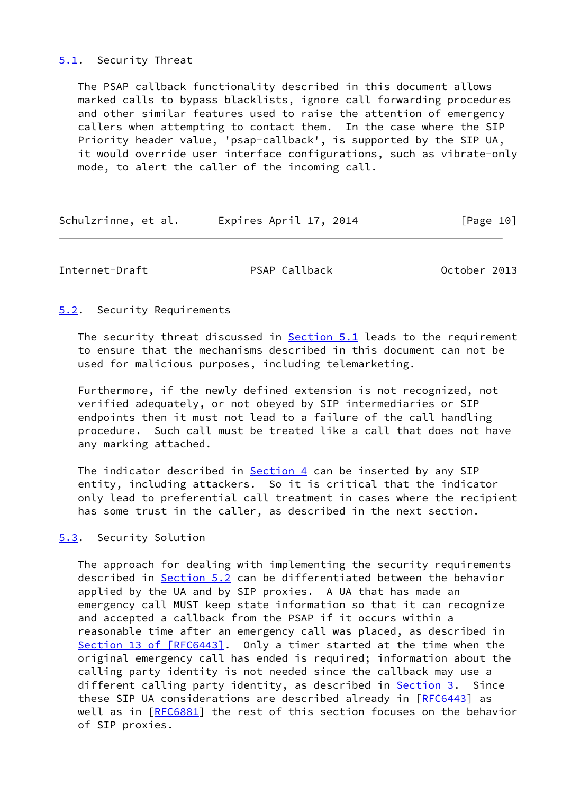### <span id="page-11-0"></span>[5.1](#page-11-0). Security Threat

 The PSAP callback functionality described in this document allows marked calls to bypass blacklists, ignore call forwarding procedures and other similar features used to raise the attention of emergency callers when attempting to contact them. In the case where the SIP Priority header value, 'psap-callback', is supported by the SIP UA, it would override user interface configurations, such as vibrate-only mode, to alert the caller of the incoming call.

|  | Schulzrinne, et al. | Expires April 17, 2014 | [Page 10] |
|--|---------------------|------------------------|-----------|
|--|---------------------|------------------------|-----------|

<span id="page-11-2"></span>Internet-Draft PSAP Callback October 2013

<span id="page-11-1"></span>[5.2](#page-11-1). Security Requirements

The security threat discussed in [Section 5.1](#page-11-0) leads to the requirement to ensure that the mechanisms described in this document can not be used for malicious purposes, including telemarketing.

 Furthermore, if the newly defined extension is not recognized, not verified adequately, or not obeyed by SIP intermediaries or SIP endpoints then it must not lead to a failure of the call handling procedure. Such call must be treated like a call that does not have any marking attached.

The indicator described in  $Section 4$  can be inserted by any SIP entity, including attackers. So it is critical that the indicator only lead to preferential call treatment in cases where the recipient has some trust in the caller, as described in the next section.

## <span id="page-11-3"></span>[5.3](#page-11-3). Security Solution

 The approach for dealing with implementing the security requirements described in [Section 5.2](#page-11-1) can be differentiated between the behavior applied by the UA and by SIP proxies. A UA that has made an emergency call MUST keep state information so that it can recognize and accepted a callback from the PSAP if it occurs within a reasonable time after an emergency call was placed, as described in Section [13 of \[RFC6443\]](https://datatracker.ietf.org/doc/pdf/rfc6443#section-13). Only a timer started at the time when the original emergency call has ended is required; information about the calling party identity is not needed since the callback may use a different calling party identity, as described in [Section 3.](#page-4-1) Since these SIP UA considerations are described already in [\[RFC6443](https://datatracker.ietf.org/doc/pdf/rfc6443)] as well as in [[RFC6881\]](https://datatracker.ietf.org/doc/pdf/rfc6881) the rest of this section focuses on the behavior of SIP proxies.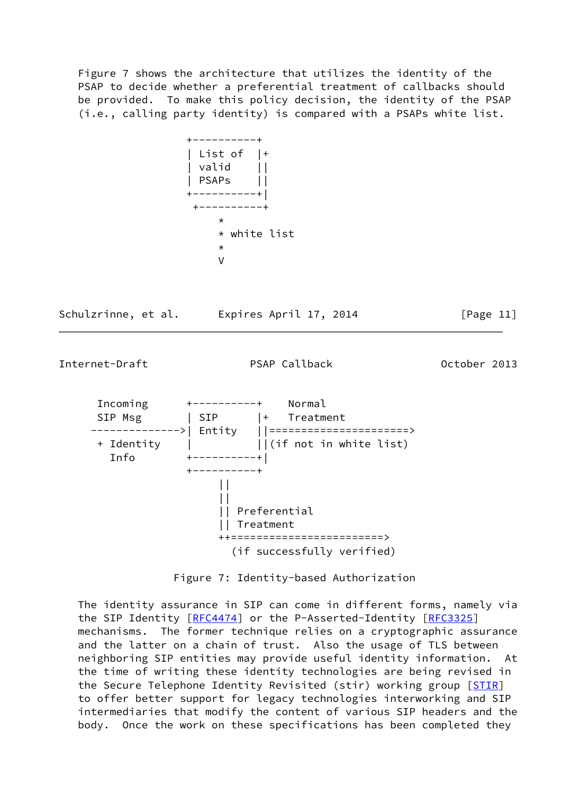Figure 7 shows the architecture that utilizes the identity of the PSAP to decide whether a preferential treatment of callbacks should be provided. To make this policy decision, the identity of the PSAP (i.e., calling party identity) is compared with a PSAPs white list.



Schulzrinne, et al. Expires April 17, 2014 [Page 11]



(if successfully verified)

Figure 7: Identity-based Authorization

 The identity assurance in SIP can come in different forms, namely via the SIP Identity [\[RFC4474](https://datatracker.ietf.org/doc/pdf/rfc4474)] or the P-Asserted-Identity [[RFC3325](https://datatracker.ietf.org/doc/pdf/rfc3325)] mechanisms. The former technique relies on a cryptographic assurance and the latter on a chain of trust. Also the usage of TLS between neighboring SIP entities may provide useful identity information. At the time of writing these identity technologies are being revised in the Secure Telephone Identity Revisited (stir) working group [\[STIR](#page-15-1)] to offer better support for legacy technologies interworking and SIP intermediaries that modify the content of various SIP headers and the body. Once the work on these specifications has been completed they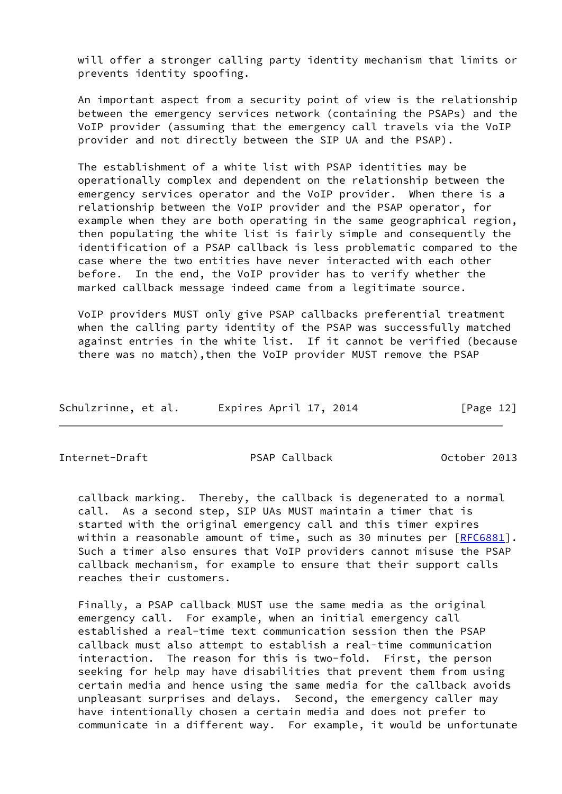will offer a stronger calling party identity mechanism that limits or prevents identity spoofing.

 An important aspect from a security point of view is the relationship between the emergency services network (containing the PSAPs) and the VoIP provider (assuming that the emergency call travels via the VoIP provider and not directly between the SIP UA and the PSAP).

 The establishment of a white list with PSAP identities may be operationally complex and dependent on the relationship between the emergency services operator and the VoIP provider. When there is a relationship between the VoIP provider and the PSAP operator, for example when they are both operating in the same geographical region, then populating the white list is fairly simple and consequently the identification of a PSAP callback is less problematic compared to the case where the two entities have never interacted with each other before. In the end, the VoIP provider has to verify whether the marked callback message indeed came from a legitimate source.

 VoIP providers MUST only give PSAP callbacks preferential treatment when the calling party identity of the PSAP was successfully matched against entries in the white list. If it cannot be verified (because there was no match),then the VoIP provider MUST remove the PSAP

| Schulzrinne, et al. | Expires April 17, 2014 | [Page 12] |
|---------------------|------------------------|-----------|
|---------------------|------------------------|-----------|

<span id="page-13-0"></span>Internet-Draft PSAP Callback October 2013

 callback marking. Thereby, the callback is degenerated to a normal call. As a second step, SIP UAs MUST maintain a timer that is started with the original emergency call and this timer expires within a reasonable amount of time, such as 30 minutes per [[RFC6881\]](https://datatracker.ietf.org/doc/pdf/rfc6881). Such a timer also ensures that VoIP providers cannot misuse the PSAP callback mechanism, for example to ensure that their support calls reaches their customers.

 Finally, a PSAP callback MUST use the same media as the original emergency call. For example, when an initial emergency call established a real-time text communication session then the PSAP callback must also attempt to establish a real-time communication interaction. The reason for this is two-fold. First, the person seeking for help may have disabilities that prevent them from using certain media and hence using the same media for the callback avoids unpleasant surprises and delays. Second, the emergency caller may have intentionally chosen a certain media and does not prefer to communicate in a different way. For example, it would be unfortunate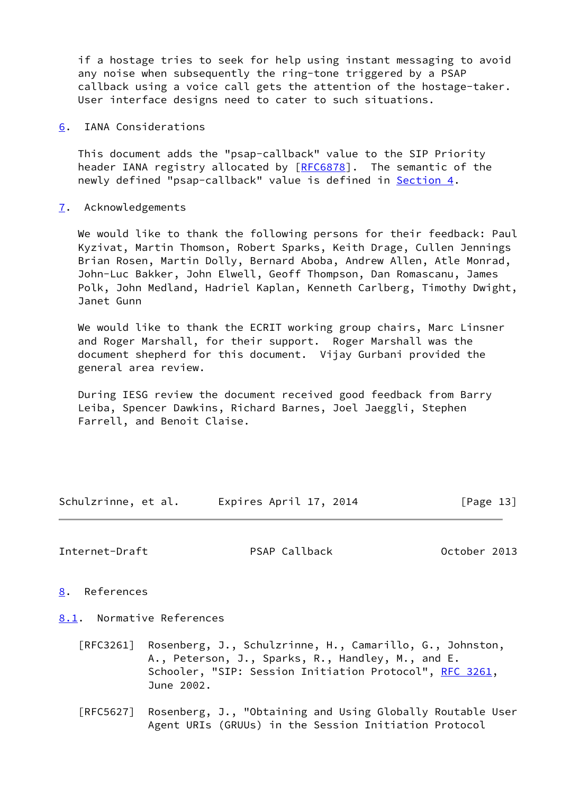if a hostage tries to seek for help using instant messaging to avoid any noise when subsequently the ring-tone triggered by a PSAP callback using a voice call gets the attention of the hostage-taker. User interface designs need to cater to such situations.

<span id="page-14-0"></span>[6](#page-14-0). IANA Considerations

 This document adds the "psap-callback" value to the SIP Priority header IANA registry allocated by [[RFC6878](https://datatracker.ietf.org/doc/pdf/rfc6878)]. The semantic of the newly defined "psap-callback" value is defined in [Section 4.](#page-10-0)

<span id="page-14-1"></span>[7](#page-14-1). Acknowledgements

 We would like to thank the following persons for their feedback: Paul Kyzivat, Martin Thomson, Robert Sparks, Keith Drage, Cullen Jennings Brian Rosen, Martin Dolly, Bernard Aboba, Andrew Allen, Atle Monrad, John-Luc Bakker, John Elwell, Geoff Thompson, Dan Romascanu, James Polk, John Medland, Hadriel Kaplan, Kenneth Carlberg, Timothy Dwight, Janet Gunn

 We would like to thank the ECRIT working group chairs, Marc Linsner and Roger Marshall, for their support. Roger Marshall was the document shepherd for this document. Vijay Gurbani provided the general area review.

 During IESG review the document received good feedback from Barry Leiba, Spencer Dawkins, Richard Barnes, Joel Jaeggli, Stephen Farrell, and Benoit Claise.

Schulzrinne, et al. Expires April 17, 2014 [Page 13]

<span id="page-14-3"></span>Internet-Draft PSAP Callback Detober 2013

- <span id="page-14-2"></span>[8](#page-14-2). References
- <span id="page-14-4"></span>[8.1](#page-14-4). Normative References
	- [RFC3261] Rosenberg, J., Schulzrinne, H., Camarillo, G., Johnston, A., Peterson, J., Sparks, R., Handley, M., and E. Schooler, "SIP: Session Initiation Protocol", [RFC 3261](https://datatracker.ietf.org/doc/pdf/rfc3261), June 2002.
	- [RFC5627] Rosenberg, J., "Obtaining and Using Globally Routable User Agent URIs (GRUUs) in the Session Initiation Protocol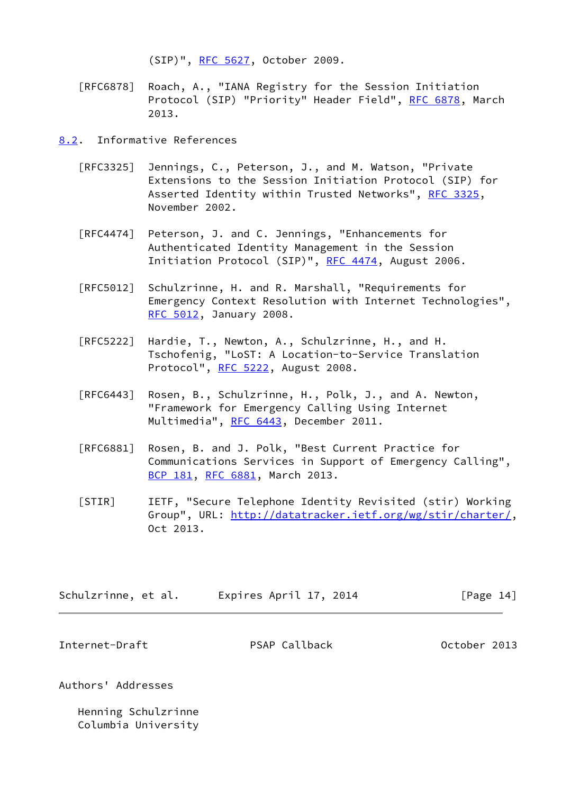(SIP)", [RFC 5627,](https://datatracker.ietf.org/doc/pdf/rfc5627) October 2009.

- [RFC6878] Roach, A., "IANA Registry for the Session Initiation Protocol (SIP) "Priority" Header Field", [RFC 6878,](https://datatracker.ietf.org/doc/pdf/rfc6878) March 2013.
- <span id="page-15-0"></span>[8.2](#page-15-0). Informative References
	- [RFC3325] Jennings, C., Peterson, J., and M. Watson, "Private Extensions to the Session Initiation Protocol (SIP) for Asserted Identity within Trusted Networks", [RFC 3325,](https://datatracker.ietf.org/doc/pdf/rfc3325) November 2002.
	- [RFC4474] Peterson, J. and C. Jennings, "Enhancements for Authenticated Identity Management in the Session Initiation Protocol (SIP)", [RFC 4474,](https://datatracker.ietf.org/doc/pdf/rfc4474) August 2006.
	- [RFC5012] Schulzrinne, H. and R. Marshall, "Requirements for Emergency Context Resolution with Internet Technologies", [RFC 5012,](https://datatracker.ietf.org/doc/pdf/rfc5012) January 2008.
	- [RFC5222] Hardie, T., Newton, A., Schulzrinne, H., and H. Tschofenig, "LoST: A Location-to-Service Translation Protocol", [RFC 5222](https://datatracker.ietf.org/doc/pdf/rfc5222), August 2008.
	- [RFC6443] Rosen, B., Schulzrinne, H., Polk, J., and A. Newton, "Framework for Emergency Calling Using Internet Multimedia", [RFC 6443](https://datatracker.ietf.org/doc/pdf/rfc6443), December 2011.
	- [RFC6881] Rosen, B. and J. Polk, "Best Current Practice for Communications Services in Support of Emergency Calling", [BCP 181](https://datatracker.ietf.org/doc/pdf/bcp181), [RFC 6881,](https://datatracker.ietf.org/doc/pdf/rfc6881) March 2013.
	- [STIR] IETF, "Secure Telephone Identity Revisited (stir) Working Group", URL:<http://datatracker.ietf.org/wg/stir/charter/>, Oct 2013.

<span id="page-15-1"></span>

| Schulzrinne, et al. | Expires April 17, 2014 | [Page 14] |
|---------------------|------------------------|-----------|
|                     |                        |           |

Internet-Draft PSAP Callback October 2013

Authors' Addresses

 Henning Schulzrinne Columbia University